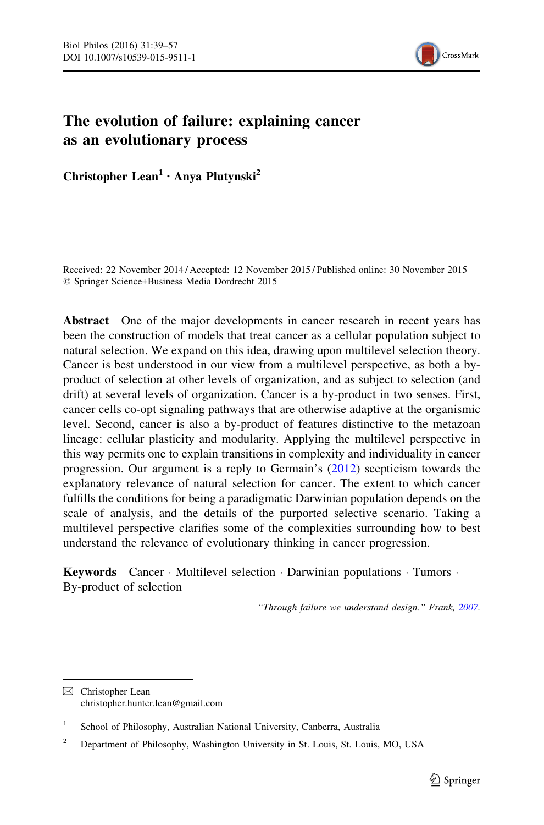

# The evolution of failure: explaining cancer as an evolutionary process

Christopher Lean<sup>1</sup> • Anya Plutynski<sup>2</sup>

Received: 22 November 2014 / Accepted: 12 November 2015 / Published online: 30 November 2015 - Springer Science+Business Media Dordrecht 2015

Abstract One of the major developments in cancer research in recent years has been the construction of models that treat cancer as a cellular population subject to natural selection. We expand on this idea, drawing upon multilevel selection theory. Cancer is best understood in our view from a multilevel perspective, as both a byproduct of selection at other levels of organization, and as subject to selection (and drift) at several levels of organization. Cancer is a by-product in two senses. First, cancer cells co-opt signaling pathways that are otherwise adaptive at the organismic level. Second, cancer is also a by-product of features distinctive to the metazoan lineage: cellular plasticity and modularity. Applying the multilevel perspective in this way permits one to explain transitions in complexity and individuality in cancer progression. Our argument is a reply to Germain's ([2012\)](#page-17-0) scepticism towards the explanatory relevance of natural selection for cancer. The extent to which cancer fulfills the conditions for being a paradigmatic Darwinian population depends on the scale of analysis, and the details of the purported selective scenario. Taking a multilevel perspective clarifies some of the complexities surrounding how to best understand the relevance of evolutionary thinking in cancer progression.

Keywords Cancer · Multilevel selection · Darwinian populations · Tumors · By-product of selection

''Through failure we understand design.'' Frank, [2007](#page-17-0).

<sup>&</sup>amp; Christopher Lean christopher.hunter.lean@gmail.com

<sup>&</sup>lt;sup>1</sup> School of Philosophy, Australian National University, Canberra, Australia

<sup>&</sup>lt;sup>2</sup> Department of Philosophy, Washington University in St. Louis, St. Louis, MO, USA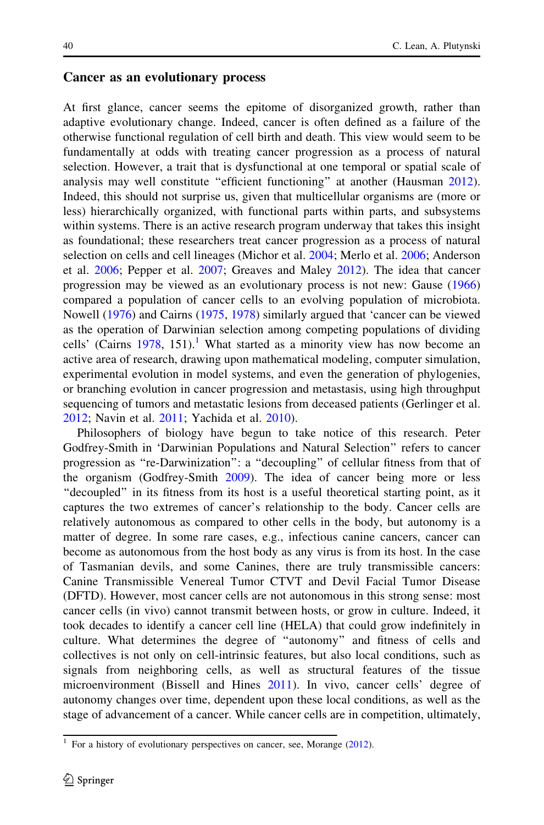#### Cancer as an evolutionary process

At first glance, cancer seems the epitome of disorganized growth, rather than adaptive evolutionary change. Indeed, cancer is often defined as a failure of the otherwise functional regulation of cell birth and death. This view would seem to be fundamentally at odds with treating cancer progression as a process of natural selection. However, a trait that is dysfunctional at one temporal or spatial scale of analysis may well constitute "efficient functioning" at another (Hausman [2012\)](#page-17-0). Indeed, this should not surprise us, given that multicellular organisms are (more or less) hierarchically organized, with functional parts within parts, and subsystems within systems. There is an active research program underway that takes this insight as foundational; these researchers treat cancer progression as a process of natural selection on cells and cell lineages (Michor et al. [2004;](#page-17-0) Merlo et al. [2006](#page-17-0); Anderson et al. [2006](#page-16-0); Pepper et al. [2007](#page-18-0); Greaves and Maley [2012](#page-17-0)). The idea that cancer progression may be viewed as an evolutionary process is not new: Gause [\(1966](#page-17-0)) compared a population of cancer cells to an evolving population of microbiota. Nowell [\(1976](#page-18-0)) and Cairns ([1975,](#page-16-0) [1978\)](#page-16-0) similarly argued that 'cancer can be viewed as the operation of Darwinian selection among competing populations of dividing cells' (Cairns  $1978$ , 151).<sup>1</sup> What started as a minority view has now become an active area of research, drawing upon mathematical modeling, computer simulation, experimental evolution in model systems, and even the generation of phylogenies, or branching evolution in cancer progression and metastasis, using high throughput sequencing of tumors and metastatic lesions from deceased patients (Gerlinger et al. [2012;](#page-17-0) Navin et al. [2011;](#page-17-0) Yachida et al. [2010\)](#page-18-0).

Philosophers of biology have begun to take notice of this research. Peter Godfrey-Smith in 'Darwinian Populations and Natural Selection'' refers to cancer progression as ''re-Darwinization'': a ''decoupling'' of cellular fitness from that of the organism (Godfrey-Smith [2009](#page-17-0)). The idea of cancer being more or less "decoupled" in its fitness from its host is a useful theoretical starting point, as it captures the two extremes of cancer's relationship to the body. Cancer cells are relatively autonomous as compared to other cells in the body, but autonomy is a matter of degree. In some rare cases, e.g., infectious canine cancers, cancer can become as autonomous from the host body as any virus is from its host. In the case of Tasmanian devils, and some Canines, there are truly transmissible cancers: Canine Transmissible Venereal Tumor CTVT and Devil Facial Tumor Disease (DFTD). However, most cancer cells are not autonomous in this strong sense: most cancer cells (in vivo) cannot transmit between hosts, or grow in culture. Indeed, it took decades to identify a cancer cell line (HELA) that could grow indefinitely in culture. What determines the degree of ''autonomy'' and fitness of cells and collectives is not only on cell-intrinsic features, but also local conditions, such as signals from neighboring cells, as well as structural features of the tissue microenvironment (Bissell and Hines [2011](#page-16-0)). In vivo, cancer cells' degree of autonomy changes over time, dependent upon these local conditions, as well as the stage of advancement of a cancer. While cancer cells are in competition, ultimately,

<sup>&</sup>lt;sup>1</sup> For a history of evolutionary perspectives on cancer, see, Morange  $(2012)$  $(2012)$ .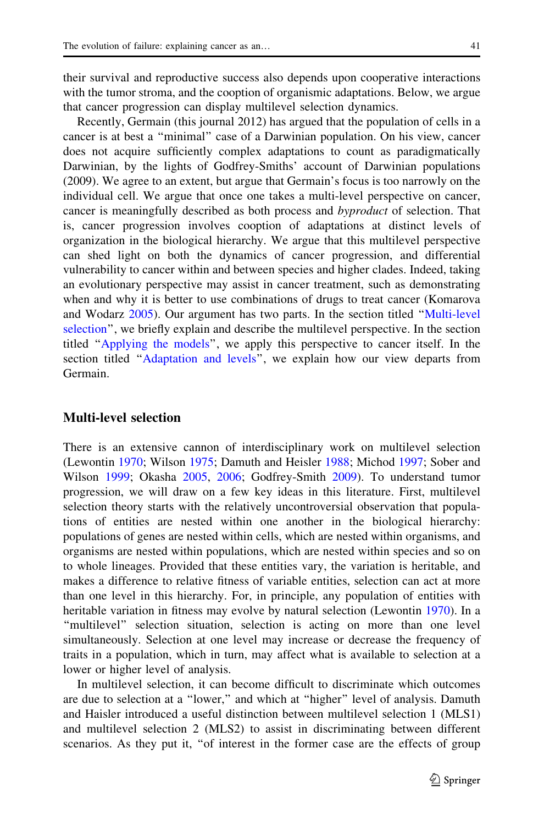their survival and reproductive success also depends upon cooperative interactions with the tumor stroma, and the cooption of organismic adaptations. Below, we argue that cancer progression can display multilevel selection dynamics.

Recently, Germain (this journal 2012) has argued that the population of cells in a cancer is at best a ''minimal'' case of a Darwinian population. On his view, cancer does not acquire sufficiently complex adaptations to count as paradigmatically Darwinian, by the lights of Godfrey-Smiths' account of Darwinian populations (2009). We agree to an extent, but argue that Germain's focus is too narrowly on the individual cell. We argue that once one takes a multi-level perspective on cancer, cancer is meaningfully described as both process and byproduct of selection. That is, cancer progression involves cooption of adaptations at distinct levels of organization in the biological hierarchy. We argue that this multilevel perspective can shed light on both the dynamics of cancer progression, and differential vulnerability to cancer within and between species and higher clades. Indeed, taking an evolutionary perspective may assist in cancer treatment, such as demonstrating when and why it is better to use combinations of drugs to treat cancer (Komarova and Wodarz [2005](#page-17-0)). Our argument has two parts. In the section titled ''Multi-level selection'', we briefly explain and describe the multilevel perspective. In the section titled ''[Applying the models](#page-5-0)'', we apply this perspective to cancer itself. In the section titled "Adaptation and levels", we explain how our view departs from Germain.

## Multi-level selection

There is an extensive cannon of interdisciplinary work on multilevel selection (Lewontin [1970;](#page-17-0) Wilson [1975;](#page-18-0) Damuth and Heisler [1988;](#page-17-0) Michod [1997](#page-17-0); Sober and Wilson [1999;](#page-18-0) Okasha [2005,](#page-18-0) [2006](#page-18-0); Godfrey-Smith [2009\)](#page-17-0). To understand tumor progression, we will draw on a few key ideas in this literature. First, multilevel selection theory starts with the relatively uncontroversial observation that populations of entities are nested within one another in the biological hierarchy: populations of genes are nested within cells, which are nested within organisms, and organisms are nested within populations, which are nested within species and so on to whole lineages. Provided that these entities vary, the variation is heritable, and makes a difference to relative fitness of variable entities, selection can act at more than one level in this hierarchy. For, in principle, any population of entities with heritable variation in fitness may evolve by natural selection (Lewontin [1970\)](#page-17-0). In a "multilevel" selection situation, selection is acting on more than one level simultaneously. Selection at one level may increase or decrease the frequency of traits in a population, which in turn, may affect what is available to selection at a lower or higher level of analysis.

In multilevel selection, it can become difficult to discriminate which outcomes are due to selection at a ''lower,'' and which at ''higher'' level of analysis. Damuth and Haisler introduced a useful distinction between multilevel selection 1 (MLS1) and multilevel selection 2 (MLS2) to assist in discriminating between different scenarios. As they put it, "of interest in the former case are the effects of group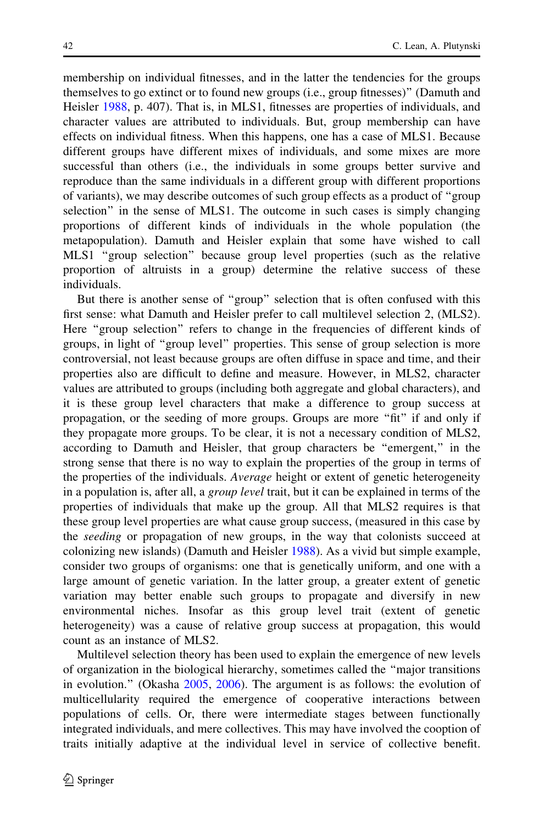membership on individual fitnesses, and in the latter the tendencies for the groups themselves to go extinct or to found new groups (i.e., group fitnesses)'' (Damuth and Heisler [1988,](#page-17-0) p. 407). That is, in MLS1, fitnesses are properties of individuals, and character values are attributed to individuals. But, group membership can have effects on individual fitness. When this happens, one has a case of MLS1. Because different groups have different mixes of individuals, and some mixes are more successful than others (i.e., the individuals in some groups better survive and reproduce than the same individuals in a different group with different proportions of variants), we may describe outcomes of such group effects as a product of ''group selection'' in the sense of MLS1. The outcome in such cases is simply changing proportions of different kinds of individuals in the whole population (the metapopulation). Damuth and Heisler explain that some have wished to call MLS1 ''group selection'' because group level properties (such as the relative proportion of altruists in a group) determine the relative success of these individuals.

But there is another sense of ''group'' selection that is often confused with this first sense: what Damuth and Heisler prefer to call multilevel selection 2, (MLS2). Here "group selection" refers to change in the frequencies of different kinds of groups, in light of ''group level'' properties. This sense of group selection is more controversial, not least because groups are often diffuse in space and time, and their properties also are difficult to define and measure. However, in MLS2, character values are attributed to groups (including both aggregate and global characters), and it is these group level characters that make a difference to group success at propagation, or the seeding of more groups. Groups are more ''fit'' if and only if they propagate more groups. To be clear, it is not a necessary condition of MLS2, according to Damuth and Heisler, that group characters be ''emergent,'' in the strong sense that there is no way to explain the properties of the group in terms of the properties of the individuals. Average height or extent of genetic heterogeneity in a population is, after all, a *group level* trait, but it can be explained in terms of the properties of individuals that make up the group. All that MLS2 requires is that these group level properties are what cause group success, (measured in this case by the *seeding* or propagation of new groups, in the way that colonists succeed at colonizing new islands) (Damuth and Heisler [1988](#page-17-0)). As a vivid but simple example, consider two groups of organisms: one that is genetically uniform, and one with a large amount of genetic variation. In the latter group, a greater extent of genetic variation may better enable such groups to propagate and diversify in new environmental niches. Insofar as this group level trait (extent of genetic heterogeneity) was a cause of relative group success at propagation, this would count as an instance of MLS2.

Multilevel selection theory has been used to explain the emergence of new levels of organization in the biological hierarchy, sometimes called the ''major transitions in evolution.'' (Okasha [2005,](#page-18-0) [2006\)](#page-18-0). The argument is as follows: the evolution of multicellularity required the emergence of cooperative interactions between populations of cells. Or, there were intermediate stages between functionally integrated individuals, and mere collectives. This may have involved the cooption of traits initially adaptive at the individual level in service of collective benefit.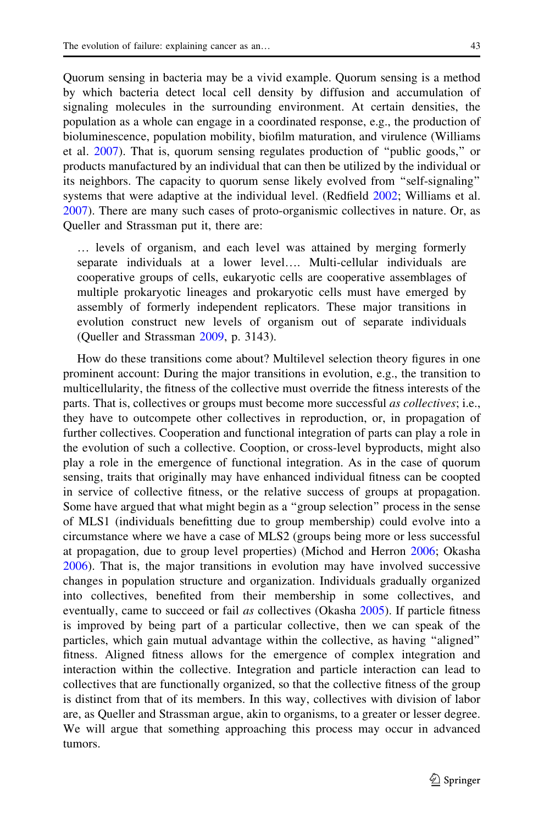Quorum sensing in bacteria may be a vivid example. Quorum sensing is a method by which bacteria detect local cell density by diffusion and accumulation of signaling molecules in the surrounding environment. At certain densities, the population as a whole can engage in a coordinated response, e.g., the production of bioluminescence, population mobility, biofilm maturation, and virulence (Williams et al. [2007\)](#page-18-0). That is, quorum sensing regulates production of ''public goods,'' or products manufactured by an individual that can then be utilized by the individual or its neighbors. The capacity to quorum sense likely evolved from ''self-signaling'' systems that were adaptive at the individual level. (Redfield [2002](#page-18-0); Williams et al. [2007\)](#page-18-0). There are many such cases of proto-organismic collectives in nature. Or, as Queller and Strassman put it, there are:

… levels of organism, and each level was attained by merging formerly separate individuals at a lower level…. Multi-cellular individuals are cooperative groups of cells, eukaryotic cells are cooperative assemblages of multiple prokaryotic lineages and prokaryotic cells must have emerged by assembly of formerly independent replicators. These major transitions in evolution construct new levels of organism out of separate individuals (Queller and Strassman [2009](#page-18-0), p. 3143).

How do these transitions come about? Multilevel selection theory figures in one prominent account: During the major transitions in evolution, e.g., the transition to multicellularity, the fitness of the collective must override the fitness interests of the parts. That is, collectives or groups must become more successful as collectives; i.e., they have to outcompete other collectives in reproduction, or, in propagation of further collectives. Cooperation and functional integration of parts can play a role in the evolution of such a collective. Cooption, or cross-level byproducts, might also play a role in the emergence of functional integration. As in the case of quorum sensing, traits that originally may have enhanced individual fitness can be coopted in service of collective fitness, or the relative success of groups at propagation. Some have argued that what might begin as a ''group selection'' process in the sense of MLS1 (individuals benefitting due to group membership) could evolve into a circumstance where we have a case of MLS2 (groups being more or less successful at propagation, due to group level properties) (Michod and Herron [2006;](#page-17-0) Okasha [2006\)](#page-18-0). That is, the major transitions in evolution may have involved successive changes in population structure and organization. Individuals gradually organized into collectives, benefited from their membership in some collectives, and eventually, came to succeed or fail as collectives (Okasha [2005\)](#page-18-0). If particle fitness is improved by being part of a particular collective, then we can speak of the particles, which gain mutual advantage within the collective, as having ''aligned'' fitness. Aligned fitness allows for the emergence of complex integration and interaction within the collective. Integration and particle interaction can lead to collectives that are functionally organized, so that the collective fitness of the group is distinct from that of its members. In this way, collectives with division of labor are, as Queller and Strassman argue, akin to organisms, to a greater or lesser degree. We will argue that something approaching this process may occur in advanced tumors.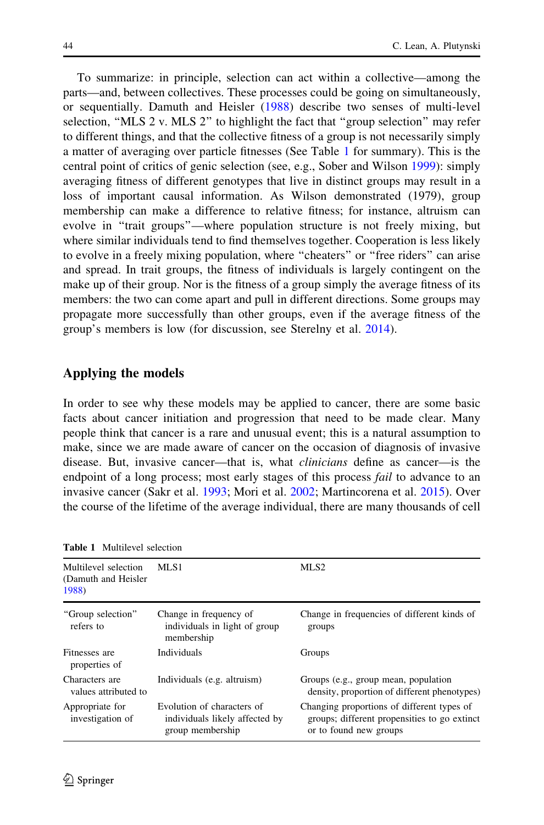<span id="page-5-0"></span>To summarize: in principle, selection can act within a collective—among the parts—and, between collectives. These processes could be going on simultaneously, or sequentially. Damuth and Heisler ([1988\)](#page-17-0) describe two senses of multi-level selection, ''MLS 2 v. MLS 2'' to highlight the fact that ''group selection'' may refer to different things, and that the collective fitness of a group is not necessarily simply a matter of averaging over particle fitnesses (See Table 1 for summary). This is the central point of critics of genic selection (see, e.g., Sober and Wilson [1999](#page-18-0)): simply averaging fitness of different genotypes that live in distinct groups may result in a loss of important causal information. As Wilson demonstrated (1979), group membership can make a difference to relative fitness; for instance, altruism can evolve in ''trait groups''—where population structure is not freely mixing, but where similar individuals tend to find themselves together. Cooperation is less likely to evolve in a freely mixing population, where ''cheaters'' or ''free riders'' can arise and spread. In trait groups, the fitness of individuals is largely contingent on the make up of their group. Nor is the fitness of a group simply the average fitness of its members: the two can come apart and pull in different directions. Some groups may propagate more successfully than other groups, even if the average fitness of the group's members is low (for discussion, see Sterelny et al. [2014](#page-18-0)).

## Applying the models

In order to see why these models may be applied to cancer, there are some basic facts about cancer initiation and progression that need to be made clear. Many people think that cancer is a rare and unusual event; this is a natural assumption to make, since we are made aware of cancer on the occasion of diagnosis of invasive disease. But, invasive cancer—that is, what clinicians define as cancer—is the endpoint of a long process; most early stages of this process *fail* to advance to an invasive cancer (Sakr et al. [1993](#page-18-0); Mori et al. [2002;](#page-17-0) Martincorena et al. [2015\)](#page-17-0). Over the course of the lifetime of the average individual, there are many thousands of cell

| Multilevel selection<br>(Damuth and Heisler)<br>1988) | MLS1                                                                             | MLS <sub>2</sub>                                                                                                     |
|-------------------------------------------------------|----------------------------------------------------------------------------------|----------------------------------------------------------------------------------------------------------------------|
| "Group selection"<br>refers to                        | Change in frequency of<br>individuals in light of group<br>membership            | Change in frequencies of different kinds of<br>groups                                                                |
| Fitnesses are<br>properties of                        | <b>Individuals</b>                                                               | Groups                                                                                                               |
| Characters are<br>values attributed to                | Individuals (e.g. altruism)                                                      | Groups (e.g., group mean, population<br>density, proportion of different phenotypes)                                 |
| Appropriate for<br>investigation of                   | Evolution of characters of<br>individuals likely affected by<br>group membership | Changing proportions of different types of<br>groups; different propensities to go extinct<br>or to found new groups |

Table 1 Multilevel selection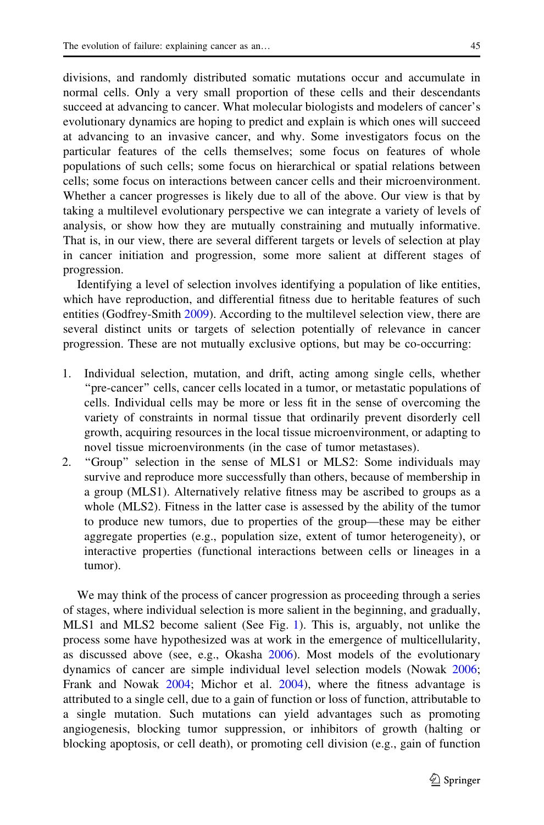divisions, and randomly distributed somatic mutations occur and accumulate in normal cells. Only a very small proportion of these cells and their descendants succeed at advancing to cancer. What molecular biologists and modelers of cancer's evolutionary dynamics are hoping to predict and explain is which ones will succeed at advancing to an invasive cancer, and why. Some investigators focus on the particular features of the cells themselves; some focus on features of whole populations of such cells; some focus on hierarchical or spatial relations between cells; some focus on interactions between cancer cells and their microenvironment. Whether a cancer progresses is likely due to all of the above. Our view is that by taking a multilevel evolutionary perspective we can integrate a variety of levels of analysis, or show how they are mutually constraining and mutually informative. That is, in our view, there are several different targets or levels of selection at play in cancer initiation and progression, some more salient at different stages of progression.

Identifying a level of selection involves identifying a population of like entities, which have reproduction, and differential fitness due to heritable features of such entities (Godfrey-Smith [2009](#page-17-0)). According to the multilevel selection view, there are several distinct units or targets of selection potentially of relevance in cancer progression. These are not mutually exclusive options, but may be co-occurring:

- 1. Individual selection, mutation, and drift, acting among single cells, whether "pre-cancer" cells, cancer cells located in a tumor, or metastatic populations of cells. Individual cells may be more or less fit in the sense of overcoming the variety of constraints in normal tissue that ordinarily prevent disorderly cell growth, acquiring resources in the local tissue microenvironment, or adapting to novel tissue microenvironments (in the case of tumor metastases).
- 2. ''Group'' selection in the sense of MLS1 or MLS2: Some individuals may survive and reproduce more successfully than others, because of membership in a group (MLS1). Alternatively relative fitness may be ascribed to groups as a whole (MLS2). Fitness in the latter case is assessed by the ability of the tumor to produce new tumors, due to properties of the group—these may be either aggregate properties (e.g., population size, extent of tumor heterogeneity), or interactive properties (functional interactions between cells or lineages in a tumor).

We may think of the process of cancer progression as proceeding through a series of stages, where individual selection is more salient in the beginning, and gradually, MLS1 and MLS2 become salient (See Fig. [1\)](#page-7-0). This is, arguably, not unlike the process some have hypothesized was at work in the emergence of multicellularity, as discussed above (see, e.g., Okasha [2006\)](#page-18-0). Most models of the evolutionary dynamics of cancer are simple individual level selection models (Nowak [2006;](#page-17-0) Frank and Nowak [2004](#page-17-0); Michor et al. [2004](#page-17-0)), where the fitness advantage is attributed to a single cell, due to a gain of function or loss of function, attributable to a single mutation. Such mutations can yield advantages such as promoting angiogenesis, blocking tumor suppression, or inhibitors of growth (halting or blocking apoptosis, or cell death), or promoting cell division (e.g., gain of function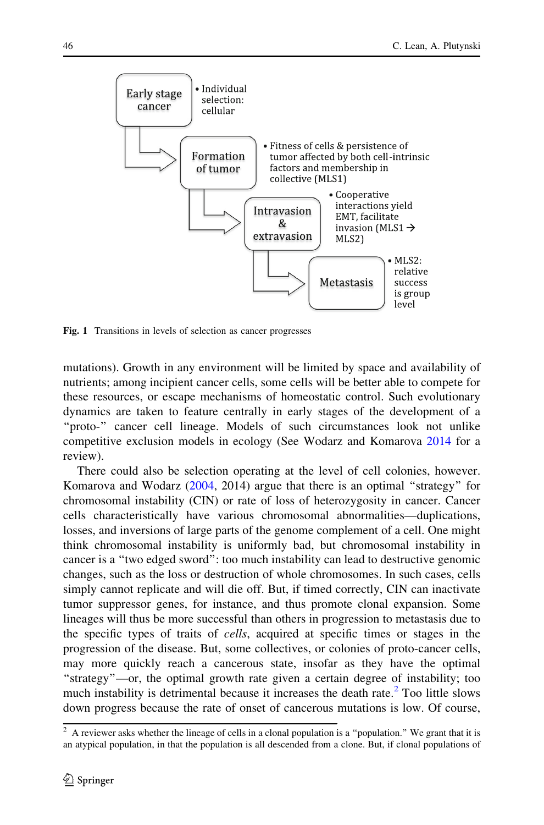<span id="page-7-0"></span>

Fig. 1 Transitions in levels of selection as cancer progresses

mutations). Growth in any environment will be limited by space and availability of nutrients; among incipient cancer cells, some cells will be better able to compete for these resources, or escape mechanisms of homeostatic control. Such evolutionary dynamics are taken to feature centrally in early stages of the development of a "proto-" cancer cell lineage. Models of such circumstances look not unlike competitive exclusion models in ecology (See Wodarz and Komarova [2014](#page-18-0) for a review).

There could also be selection operating at the level of cell colonies, however. Komarova and Wodarz [\(2004](#page-17-0), 2014) argue that there is an optimal ''strategy'' for chromosomal instability (CIN) or rate of loss of heterozygosity in cancer. Cancer cells characteristically have various chromosomal abnormalities—duplications, losses, and inversions of large parts of the genome complement of a cell. One might think chromosomal instability is uniformly bad, but chromosomal instability in cancer is a ''two edged sword'': too much instability can lead to destructive genomic changes, such as the loss or destruction of whole chromosomes. In such cases, cells simply cannot replicate and will die off. But, if timed correctly, CIN can inactivate tumor suppressor genes, for instance, and thus promote clonal expansion. Some lineages will thus be more successful than others in progression to metastasis due to the specific types of traits of cells, acquired at specific times or stages in the progression of the disease. But, some collectives, or colonies of proto-cancer cells, may more quickly reach a cancerous state, insofar as they have the optimal ''strategy''—or, the optimal growth rate given a certain degree of instability; too much instability is detrimental because it increases the death rate. $2$  Too little slows down progress because the rate of onset of cancerous mutations is low. Of course,

 $\overline{a}$  A reviewer asks whether the lineage of cells in a clonal population is a "population." We grant that it is an atypical population, in that the population is all descended from a clone. But, if clonal populations of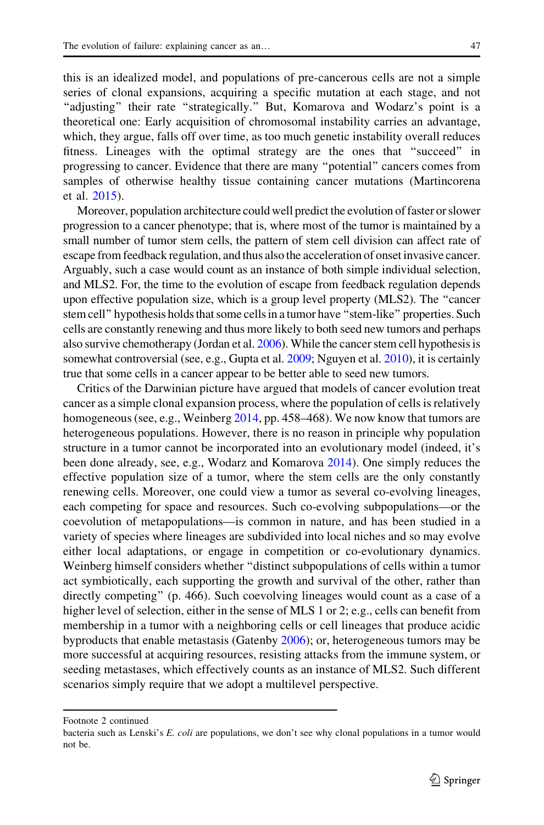this is an idealized model, and populations of pre-cancerous cells are not a simple series of clonal expansions, acquiring a specific mutation at each stage, and not ''adjusting'' their rate ''strategically.'' But, Komarova and Wodarz's point is a theoretical one: Early acquisition of chromosomal instability carries an advantage, which, they argue, falls off over time, as too much genetic instability overall reduces fitness. Lineages with the optimal strategy are the ones that ''succeed'' in progressing to cancer. Evidence that there are many ''potential'' cancers comes from samples of otherwise healthy tissue containing cancer mutations (Martincorena et al. [2015\)](#page-17-0).

Moreover, population architecture could well predict the evolution of faster or slower progression to a cancer phenotype; that is, where most of the tumor is maintained by a small number of tumor stem cells, the pattern of stem cell division can affect rate of escape from feedback regulation, and thus also the acceleration of onset invasive cancer. Arguably, such a case would count as an instance of both simple individual selection, and MLS2. For, the time to the evolution of escape from feedback regulation depends upon effective population size, which is a group level property (MLS2). The ''cancer stem cell'' hypothesis holds that some cells in a tumor have ''stem-like'' properties. Such cells are constantly renewing and thus more likely to both seed new tumors and perhaps also survive chemotherapy (Jordan et al. [2006](#page-17-0)). While the cancer stem cell hypothesis is somewhat controversial (see, e.g., Gupta et al. [2009;](#page-17-0) Nguyen et al. [2010](#page-17-0)), it is certainly true that some cells in a cancer appear to be better able to seed new tumors.

Critics of the Darwinian picture have argued that models of cancer evolution treat cancer as a simple clonal expansion process, where the population of cells is relatively homogeneous (see, e.g., Weinberg [2014](#page-18-0), pp. 458–468). We now know that tumors are heterogeneous populations. However, there is no reason in principle why population structure in a tumor cannot be incorporated into an evolutionary model (indeed, it's been done already, see, e.g., Wodarz and Komarova [2014\)](#page-18-0). One simply reduces the effective population size of a tumor, where the stem cells are the only constantly renewing cells. Moreover, one could view a tumor as several co-evolving lineages, each competing for space and resources. Such co-evolving subpopulations—or the coevolution of metapopulations—is common in nature, and has been studied in a variety of species where lineages are subdivided into local niches and so may evolve either local adaptations, or engage in competition or co-evolutionary dynamics. Weinberg himself considers whether ''distinct subpopulations of cells within a tumor act symbiotically, each supporting the growth and survival of the other, rather than directly competing'' (p. 466). Such coevolving lineages would count as a case of a higher level of selection, either in the sense of MLS 1 or 2; e.g., cells can benefit from membership in a tumor with a neighboring cells or cell lineages that produce acidic byproducts that enable metastasis (Gatenby [2006](#page-17-0)); or, heterogeneous tumors may be more successful at acquiring resources, resisting attacks from the immune system, or seeding metastases, which effectively counts as an instance of MLS2. Such different scenarios simply require that we adopt a multilevel perspective.

Footnote 2 continued

bacteria such as Lenski's E. coli are populations, we don't see why clonal populations in a tumor would not be.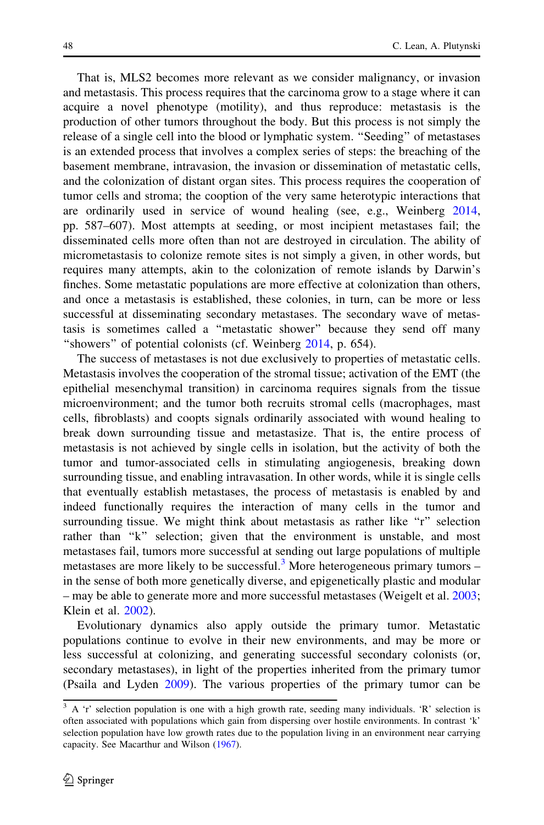That is, MLS2 becomes more relevant as we consider malignancy, or invasion and metastasis. This process requires that the carcinoma grow to a stage where it can acquire a novel phenotype (motility), and thus reproduce: metastasis is the production of other tumors throughout the body. But this process is not simply the release of a single cell into the blood or lymphatic system. ''Seeding'' of metastases is an extended process that involves a complex series of steps: the breaching of the basement membrane, intravasion, the invasion or dissemination of metastatic cells, and the colonization of distant organ sites. This process requires the cooperation of tumor cells and stroma; the cooption of the very same heterotypic interactions that are ordinarily used in service of wound healing (see, e.g., Weinberg [2014,](#page-18-0) pp. 587–607). Most attempts at seeding, or most incipient metastases fail; the disseminated cells more often than not are destroyed in circulation. The ability of micrometastasis to colonize remote sites is not simply a given, in other words, but requires many attempts, akin to the colonization of remote islands by Darwin's finches. Some metastatic populations are more effective at colonization than others, and once a metastasis is established, these colonies, in turn, can be more or less successful at disseminating secondary metastases. The secondary wave of metastasis is sometimes called a ''metastatic shower'' because they send off many "showers" of potential colonists (cf. Weinberg [2014,](#page-18-0) p. 654).

The success of metastases is not due exclusively to properties of metastatic cells. Metastasis involves the cooperation of the stromal tissue; activation of the EMT (the epithelial mesenchymal transition) in carcinoma requires signals from the tissue microenvironment; and the tumor both recruits stromal cells (macrophages, mast cells, fibroblasts) and coopts signals ordinarily associated with wound healing to break down surrounding tissue and metastasize. That is, the entire process of metastasis is not achieved by single cells in isolation, but the activity of both the tumor and tumor-associated cells in stimulating angiogenesis, breaking down surrounding tissue, and enabling intravasation. In other words, while it is single cells that eventually establish metastases, the process of metastasis is enabled by and indeed functionally requires the interaction of many cells in the tumor and surrounding tissue. We might think about metastasis as rather like "r" selection rather than "k" selection; given that the environment is unstable, and most metastases fail, tumors more successful at sending out large populations of multiple metastases are more likely to be successful.<sup>3</sup> More heterogeneous primary tumors – in the sense of both more genetically diverse, and epigenetically plastic and modular – may be able to generate more and more successful metastases (Weigelt et al. [2003;](#page-18-0) Klein et al. [2002](#page-17-0)).

Evolutionary dynamics also apply outside the primary tumor. Metastatic populations continue to evolve in their new environments, and may be more or less successful at colonizing, and generating successful secondary colonists (or, secondary metastases), in light of the properties inherited from the primary tumor (Psaila and Lyden [2009](#page-18-0)). The various properties of the primary tumor can be

<sup>&</sup>lt;sup>3</sup> A 'r' selection population is one with a high growth rate, seeding many individuals. 'R' selection is often associated with populations which gain from dispersing over hostile environments. In contrast 'k' selection population have low growth rates due to the population living in an environment near carrying capacity. See Macarthur and Wilson ([1967\)](#page-17-0).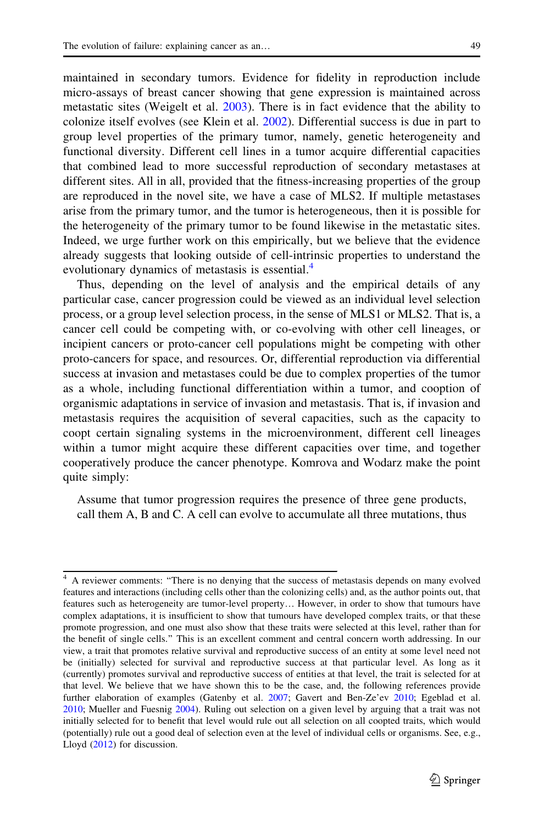maintained in secondary tumors. Evidence for fidelity in reproduction include micro-assays of breast cancer showing that gene expression is maintained across metastatic sites (Weigelt et al. [2003](#page-18-0)). There is in fact evidence that the ability to colonize itself evolves (see Klein et al. [2002](#page-17-0)). Differential success is due in part to group level properties of the primary tumor, namely, genetic heterogeneity and functional diversity. Different cell lines in a tumor acquire differential capacities that combined lead to more successful reproduction of secondary metastases at different sites. All in all, provided that the fitness-increasing properties of the group are reproduced in the novel site, we have a case of MLS2. If multiple metastases arise from the primary tumor, and the tumor is heterogeneous, then it is possible for the heterogeneity of the primary tumor to be found likewise in the metastatic sites. Indeed, we urge further work on this empirically, but we believe that the evidence already suggests that looking outside of cell-intrinsic properties to understand the evolutionary dynamics of metastasis is essential.<sup>4</sup>

Thus, depending on the level of analysis and the empirical details of any particular case, cancer progression could be viewed as an individual level selection process, or a group level selection process, in the sense of MLS1 or MLS2. That is, a cancer cell could be competing with, or co-evolving with other cell lineages, or incipient cancers or proto-cancer cell populations might be competing with other proto-cancers for space, and resources. Or, differential reproduction via differential success at invasion and metastases could be due to complex properties of the tumor as a whole, including functional differentiation within a tumor, and cooption of organismic adaptations in service of invasion and metastasis. That is, if invasion and metastasis requires the acquisition of several capacities, such as the capacity to coopt certain signaling systems in the microenvironment, different cell lineages within a tumor might acquire these different capacities over time, and together cooperatively produce the cancer phenotype. Komrova and Wodarz make the point quite simply:

Assume that tumor progression requires the presence of three gene products, call them A, B and C. A cell can evolve to accumulate all three mutations, thus

<sup>&</sup>lt;sup>4</sup> A reviewer comments: "There is no denying that the success of metastasis depends on many evolved features and interactions (including cells other than the colonizing cells) and, as the author points out, that features such as heterogeneity are tumor-level property… However, in order to show that tumours have complex adaptations, it is insufficient to show that tumours have developed complex traits, or that these promote progression, and one must also show that these traits were selected at this level, rather than for the benefit of single cells.'' This is an excellent comment and central concern worth addressing. In our view, a trait that promotes relative survival and reproductive success of an entity at some level need not be (initially) selected for survival and reproductive success at that particular level. As long as it (currently) promotes survival and reproductive success of entities at that level, the trait is selected for at that level. We believe that we have shown this to be the case, and, the following references provide further elaboration of examples (Gatenby et al. [2007;](#page-17-0) Gavert and Ben-Ze'ev [2010](#page-17-0); Egeblad et al. [2010;](#page-17-0) Mueller and Fuesnig [2004\)](#page-17-0). Ruling out selection on a given level by arguing that a trait was not initially selected for to benefit that level would rule out all selection on all coopted traits, which would (potentially) rule out a good deal of selection even at the level of individual cells or organisms. See, e.g., Lloyd [\(2012](#page-17-0)) for discussion.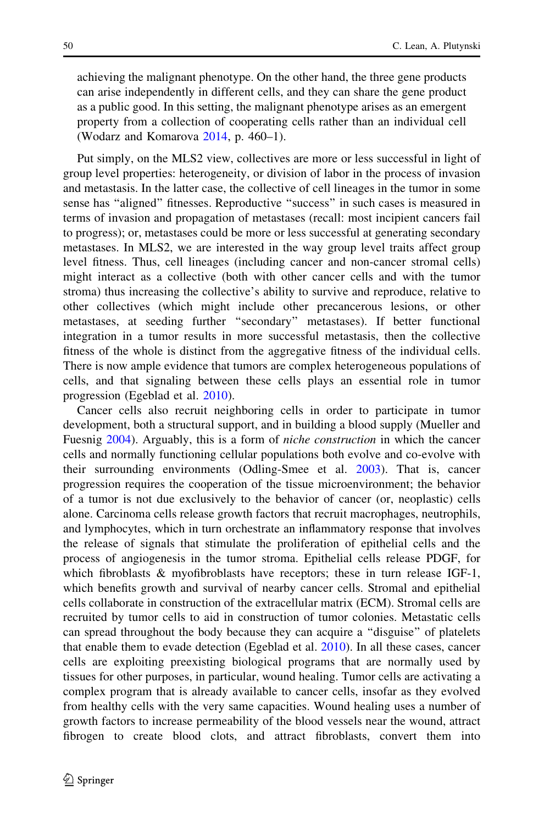achieving the malignant phenotype. On the other hand, the three gene products can arise independently in different cells, and they can share the gene product as a public good. In this setting, the malignant phenotype arises as an emergent property from a collection of cooperating cells rather than an individual cell (Wodarz and Komarova [2014,](#page-18-0) p. 460–1).

Put simply, on the MLS2 view, collectives are more or less successful in light of group level properties: heterogeneity, or division of labor in the process of invasion and metastasis. In the latter case, the collective of cell lineages in the tumor in some sense has ''aligned'' fitnesses. Reproductive ''success'' in such cases is measured in terms of invasion and propagation of metastases (recall: most incipient cancers fail to progress); or, metastases could be more or less successful at generating secondary metastases. In MLS2, we are interested in the way group level traits affect group level fitness. Thus, cell lineages (including cancer and non-cancer stromal cells) might interact as a collective (both with other cancer cells and with the tumor stroma) thus increasing the collective's ability to survive and reproduce, relative to other collectives (which might include other precancerous lesions, or other metastases, at seeding further ''secondary'' metastases). If better functional integration in a tumor results in more successful metastasis, then the collective fitness of the whole is distinct from the aggregative fitness of the individual cells. There is now ample evidence that tumors are complex heterogeneous populations of cells, and that signaling between these cells plays an essential role in tumor progression (Egeblad et al. [2010](#page-17-0)).

Cancer cells also recruit neighboring cells in order to participate in tumor development, both a structural support, and in building a blood supply (Mueller and Fuesnig [2004\)](#page-17-0). Arguably, this is a form of niche construction in which the cancer cells and normally functioning cellular populations both evolve and co-evolve with their surrounding environments (Odling-Smee et al. [2003\)](#page-18-0). That is, cancer progression requires the cooperation of the tissue microenvironment; the behavior of a tumor is not due exclusively to the behavior of cancer (or, neoplastic) cells alone. Carcinoma cells release growth factors that recruit macrophages, neutrophils, and lymphocytes, which in turn orchestrate an inflammatory response that involves the release of signals that stimulate the proliferation of epithelial cells and the process of angiogenesis in the tumor stroma. Epithelial cells release PDGF, for which fibroblasts & myofibroblasts have receptors; these in turn release IGF-1, which benefits growth and survival of nearby cancer cells. Stromal and epithelial cells collaborate in construction of the extracellular matrix (ECM). Stromal cells are recruited by tumor cells to aid in construction of tumor colonies. Metastatic cells can spread throughout the body because they can acquire a ''disguise'' of platelets that enable them to evade detection (Egeblad et al. [2010](#page-17-0)). In all these cases, cancer cells are exploiting preexisting biological programs that are normally used by tissues for other purposes, in particular, wound healing. Tumor cells are activating a complex program that is already available to cancer cells, insofar as they evolved from healthy cells with the very same capacities. Wound healing uses a number of growth factors to increase permeability of the blood vessels near the wound, attract fibrogen to create blood clots, and attract fibroblasts, convert them into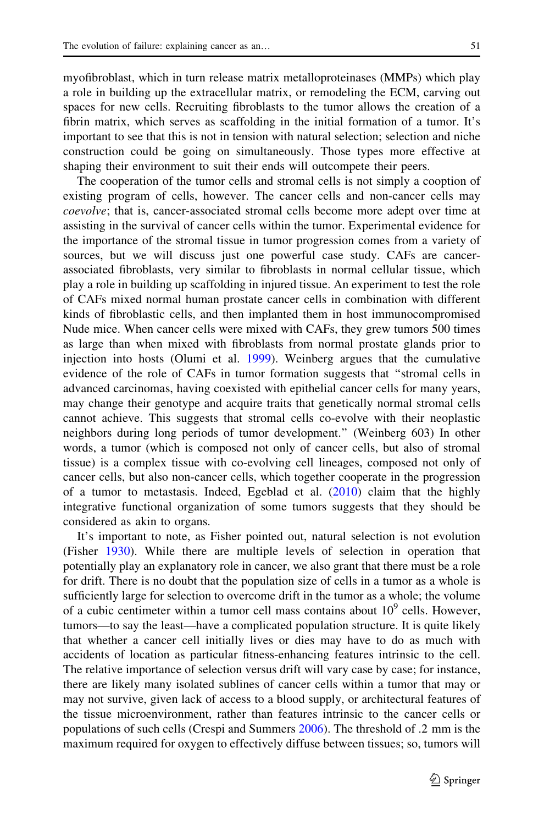myofibroblast, which in turn release matrix metalloproteinases (MMPs) which play a role in building up the extracellular matrix, or remodeling the ECM, carving out spaces for new cells. Recruiting fibroblasts to the tumor allows the creation of a fibrin matrix, which serves as scaffolding in the initial formation of a tumor. It's important to see that this is not in tension with natural selection; selection and niche construction could be going on simultaneously. Those types more effective at shaping their environment to suit their ends will outcompete their peers.

The cooperation of the tumor cells and stromal cells is not simply a cooption of existing program of cells, however. The cancer cells and non-cancer cells may coevolve; that is, cancer-associated stromal cells become more adept over time at assisting in the survival of cancer cells within the tumor. Experimental evidence for the importance of the stromal tissue in tumor progression comes from a variety of sources, but we will discuss just one powerful case study. CAFs are cancerassociated fibroblasts, very similar to fibroblasts in normal cellular tissue, which play a role in building up scaffolding in injured tissue. An experiment to test the role of CAFs mixed normal human prostate cancer cells in combination with different kinds of fibroblastic cells, and then implanted them in host immunocompromised Nude mice. When cancer cells were mixed with CAFs, they grew tumors 500 times as large than when mixed with fibroblasts from normal prostate glands prior to injection into hosts (Olumi et al. [1999](#page-18-0)). Weinberg argues that the cumulative evidence of the role of CAFs in tumor formation suggests that ''stromal cells in advanced carcinomas, having coexisted with epithelial cancer cells for many years, may change their genotype and acquire traits that genetically normal stromal cells cannot achieve. This suggests that stromal cells co-evolve with their neoplastic neighbors during long periods of tumor development.'' (Weinberg 603) In other words, a tumor (which is composed not only of cancer cells, but also of stromal tissue) is a complex tissue with co-evolving cell lineages, composed not only of cancer cells, but also non-cancer cells, which together cooperate in the progression of a tumor to metastasis. Indeed, Egeblad et al. ([2010\)](#page-17-0) claim that the highly integrative functional organization of some tumors suggests that they should be considered as akin to organs.

It's important to note, as Fisher pointed out, natural selection is not evolution (Fisher [1930](#page-17-0)). While there are multiple levels of selection in operation that potentially play an explanatory role in cancer, we also grant that there must be a role for drift. There is no doubt that the population size of cells in a tumor as a whole is sufficiently large for selection to overcome drift in the tumor as a whole; the volume of a cubic centimeter within a tumor cell mass contains about  $10^9$  cells. However, tumors—to say the least—have a complicated population structure. It is quite likely that whether a cancer cell initially lives or dies may have to do as much with accidents of location as particular fitness-enhancing features intrinsic to the cell. The relative importance of selection versus drift will vary case by case; for instance, there are likely many isolated sublines of cancer cells within a tumor that may or may not survive, given lack of access to a blood supply, or architectural features of the tissue microenvironment, rather than features intrinsic to the cancer cells or populations of such cells (Crespi and Summers [2006](#page-16-0)). The threshold of .2 mm is the maximum required for oxygen to effectively diffuse between tissues; so, tumors will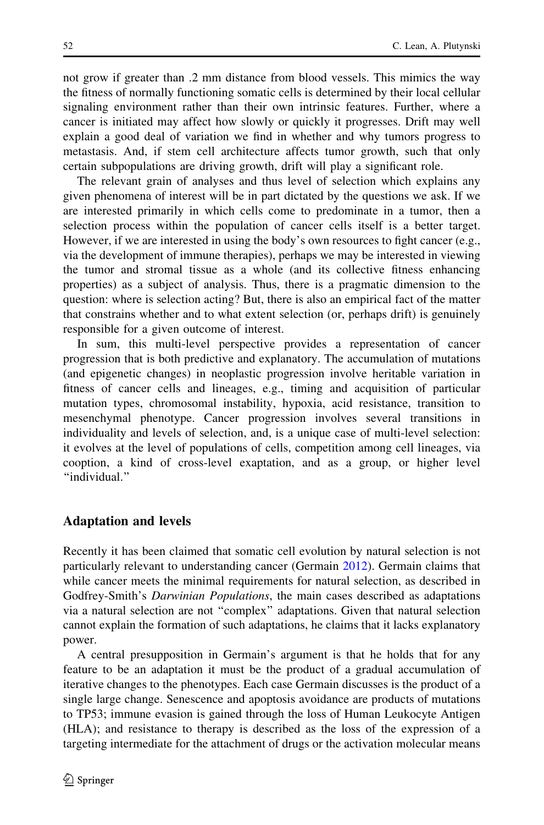<span id="page-13-0"></span>not grow if greater than .2 mm distance from blood vessels. This mimics the way the fitness of normally functioning somatic cells is determined by their local cellular signaling environment rather than their own intrinsic features. Further, where a cancer is initiated may affect how slowly or quickly it progresses. Drift may well explain a good deal of variation we find in whether and why tumors progress to metastasis. And, if stem cell architecture affects tumor growth, such that only certain subpopulations are driving growth, drift will play a significant role.

The relevant grain of analyses and thus level of selection which explains any given phenomena of interest will be in part dictated by the questions we ask. If we are interested primarily in which cells come to predominate in a tumor, then a selection process within the population of cancer cells itself is a better target. However, if we are interested in using the body's own resources to fight cancer (e.g., via the development of immune therapies), perhaps we may be interested in viewing the tumor and stromal tissue as a whole (and its collective fitness enhancing properties) as a subject of analysis. Thus, there is a pragmatic dimension to the question: where is selection acting? But, there is also an empirical fact of the matter that constrains whether and to what extent selection (or, perhaps drift) is genuinely responsible for a given outcome of interest.

In sum, this multi-level perspective provides a representation of cancer progression that is both predictive and explanatory. The accumulation of mutations (and epigenetic changes) in neoplastic progression involve heritable variation in fitness of cancer cells and lineages, e.g., timing and acquisition of particular mutation types, chromosomal instability, hypoxia, acid resistance, transition to mesenchymal phenotype. Cancer progression involves several transitions in individuality and levels of selection, and, is a unique case of multi-level selection: it evolves at the level of populations of cells, competition among cell lineages, via cooption, a kind of cross-level exaptation, and as a group, or higher level ''individual.''

## Adaptation and levels

Recently it has been claimed that somatic cell evolution by natural selection is not particularly relevant to understanding cancer (Germain [2012](#page-17-0)). Germain claims that while cancer meets the minimal requirements for natural selection, as described in Godfrey-Smith's Darwinian Populations, the main cases described as adaptations via a natural selection are not ''complex'' adaptations. Given that natural selection cannot explain the formation of such adaptations, he claims that it lacks explanatory power.

A central presupposition in Germain's argument is that he holds that for any feature to be an adaptation it must be the product of a gradual accumulation of iterative changes to the phenotypes. Each case Germain discusses is the product of a single large change. Senescence and apoptosis avoidance are products of mutations to TP53; immune evasion is gained through the loss of Human Leukocyte Antigen (HLA); and resistance to therapy is described as the loss of the expression of a targeting intermediate for the attachment of drugs or the activation molecular means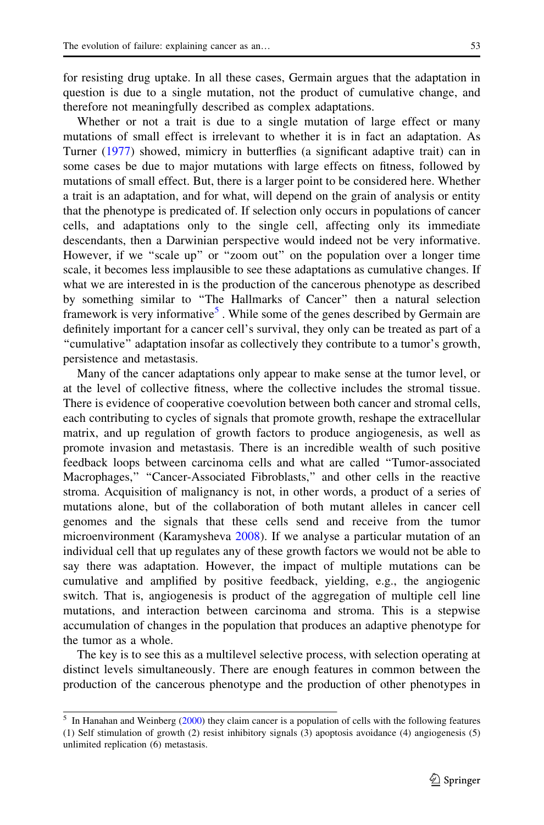for resisting drug uptake. In all these cases, Germain argues that the adaptation in question is due to a single mutation, not the product of cumulative change, and therefore not meaningfully described as complex adaptations.

Whether or not a trait is due to a single mutation of large effect or many mutations of small effect is irrelevant to whether it is in fact an adaptation. As Turner ([1977\)](#page-18-0) showed, mimicry in butterflies (a significant adaptive trait) can in some cases be due to major mutations with large effects on fitness, followed by mutations of small effect. But, there is a larger point to be considered here. Whether a trait is an adaptation, and for what, will depend on the grain of analysis or entity that the phenotype is predicated of. If selection only occurs in populations of cancer cells, and adaptations only to the single cell, affecting only its immediate descendants, then a Darwinian perspective would indeed not be very informative. However, if we ''scale up'' or ''zoom out'' on the population over a longer time scale, it becomes less implausible to see these adaptations as cumulative changes. If what we are interested in is the production of the cancerous phenotype as described by something similar to ''The Hallmarks of Cancer'' then a natural selection framework is very informative<sup>5</sup>. While some of the genes described by Germain are definitely important for a cancer cell's survival, they only can be treated as part of a ''cumulative'' adaptation insofar as collectively they contribute to a tumor's growth, persistence and metastasis.

Many of the cancer adaptations only appear to make sense at the tumor level, or at the level of collective fitness, where the collective includes the stromal tissue. There is evidence of cooperative coevolution between both cancer and stromal cells, each contributing to cycles of signals that promote growth, reshape the extracellular matrix, and up regulation of growth factors to produce angiogenesis, as well as promote invasion and metastasis. There is an incredible wealth of such positive feedback loops between carcinoma cells and what are called ''Tumor-associated Macrophages," "Cancer-Associated Fibroblasts," and other cells in the reactive stroma. Acquisition of malignancy is not, in other words, a product of a series of mutations alone, but of the collaboration of both mutant alleles in cancer cell genomes and the signals that these cells send and receive from the tumor microenvironment (Karamysheva [2008](#page-17-0)). If we analyse a particular mutation of an individual cell that up regulates any of these growth factors we would not be able to say there was adaptation. However, the impact of multiple mutations can be cumulative and amplified by positive feedback, yielding, e.g., the angiogenic switch. That is, angiogenesis is product of the aggregation of multiple cell line mutations, and interaction between carcinoma and stroma. This is a stepwise accumulation of changes in the population that produces an adaptive phenotype for the tumor as a whole.

The key is to see this as a multilevel selective process, with selection operating at distinct levels simultaneously. There are enough features in common between the production of the cancerous phenotype and the production of other phenotypes in

<sup>5</sup> In Hanahan and Weinberg [\(2000](#page-17-0)) they claim cancer is a population of cells with the following features (1) Self stimulation of growth (2) resist inhibitory signals (3) apoptosis avoidance (4) angiogenesis (5) unlimited replication (6) metastasis.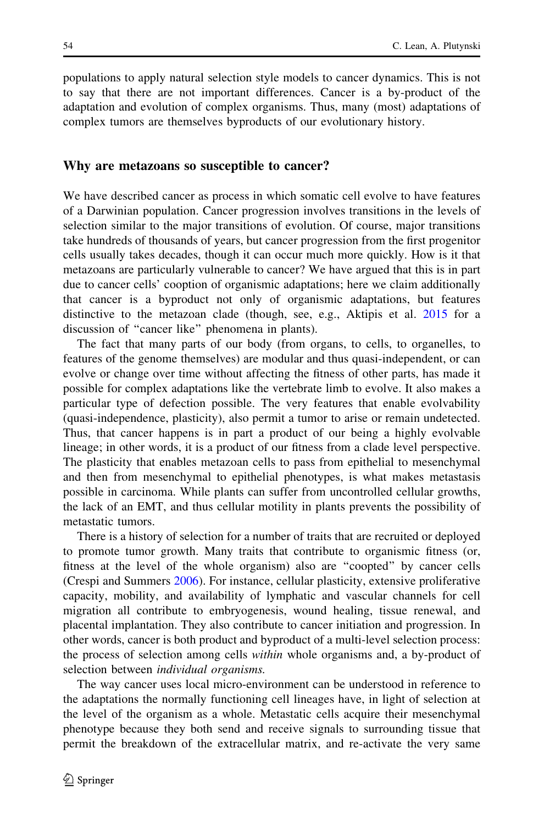populations to apply natural selection style models to cancer dynamics. This is not to say that there are not important differences. Cancer is a by-product of the adaptation and evolution of complex organisms. Thus, many (most) adaptations of complex tumors are themselves byproducts of our evolutionary history.

#### Why are metazoans so susceptible to cancer?

We have described cancer as process in which somatic cell evolve to have features of a Darwinian population. Cancer progression involves transitions in the levels of selection similar to the major transitions of evolution. Of course, major transitions take hundreds of thousands of years, but cancer progression from the first progenitor cells usually takes decades, though it can occur much more quickly. How is it that metazoans are particularly vulnerable to cancer? We have argued that this is in part due to cancer cells' cooption of organismic adaptations; here we claim additionally that cancer is a byproduct not only of organismic adaptations, but features distinctive to the metazoan clade (though, see, e.g., Aktipis et al. [2015](#page-16-0) for a discussion of ''cancer like'' phenomena in plants).

The fact that many parts of our body (from organs, to cells, to organelles, to features of the genome themselves) are modular and thus quasi-independent, or can evolve or change over time without affecting the fitness of other parts, has made it possible for complex adaptations like the vertebrate limb to evolve. It also makes a particular type of defection possible. The very features that enable evolvability (quasi-independence, plasticity), also permit a tumor to arise or remain undetected. Thus, that cancer happens is in part a product of our being a highly evolvable lineage; in other words, it is a product of our fitness from a clade level perspective. The plasticity that enables metazoan cells to pass from epithelial to mesenchymal and then from mesenchymal to epithelial phenotypes, is what makes metastasis possible in carcinoma. While plants can suffer from uncontrolled cellular growths, the lack of an EMT, and thus cellular motility in plants prevents the possibility of metastatic tumors.

There is a history of selection for a number of traits that are recruited or deployed to promote tumor growth. Many traits that contribute to organismic fitness (or, fitness at the level of the whole organism) also are ''coopted'' by cancer cells (Crespi and Summers [2006\)](#page-16-0). For instance, cellular plasticity, extensive proliferative capacity, mobility, and availability of lymphatic and vascular channels for cell migration all contribute to embryogenesis, wound healing, tissue renewal, and placental implantation. They also contribute to cancer initiation and progression. In other words, cancer is both product and byproduct of a multi-level selection process: the process of selection among cells within whole organisms and, a by-product of selection between individual organisms.

The way cancer uses local micro-environment can be understood in reference to the adaptations the normally functioning cell lineages have, in light of selection at the level of the organism as a whole. Metastatic cells acquire their mesenchymal phenotype because they both send and receive signals to surrounding tissue that permit the breakdown of the extracellular matrix, and re-activate the very same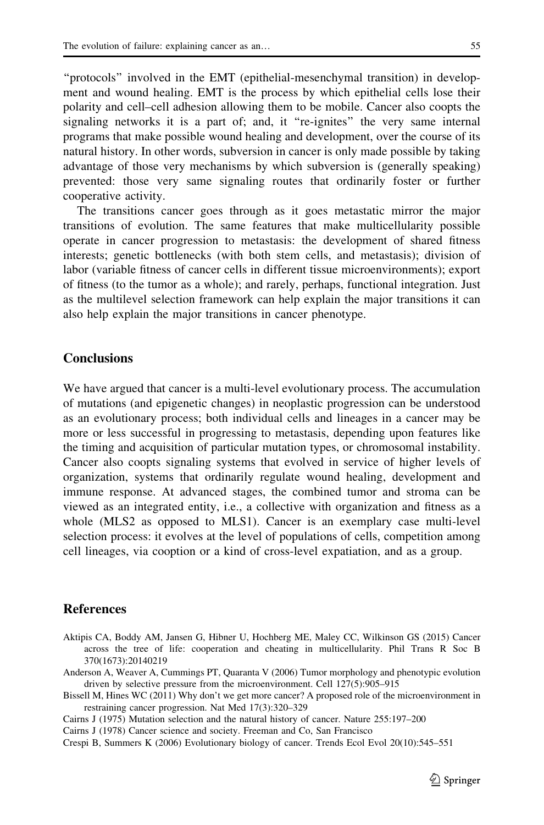<span id="page-16-0"></span>''protocols'' involved in the EMT (epithelial-mesenchymal transition) in development and wound healing. EMT is the process by which epithelial cells lose their polarity and cell–cell adhesion allowing them to be mobile. Cancer also coopts the signaling networks it is a part of; and, it ''re-ignites'' the very same internal programs that make possible wound healing and development, over the course of its natural history. In other words, subversion in cancer is only made possible by taking advantage of those very mechanisms by which subversion is (generally speaking) prevented: those very same signaling routes that ordinarily foster or further cooperative activity.

The transitions cancer goes through as it goes metastatic mirror the major transitions of evolution. The same features that make multicellularity possible operate in cancer progression to metastasis: the development of shared fitness interests; genetic bottlenecks (with both stem cells, and metastasis); division of labor (variable fitness of cancer cells in different tissue microenvironments); export of fitness (to the tumor as a whole); and rarely, perhaps, functional integration. Just as the multilevel selection framework can help explain the major transitions it can also help explain the major transitions in cancer phenotype.

## **Conclusions**

We have argued that cancer is a multi-level evolutionary process. The accumulation of mutations (and epigenetic changes) in neoplastic progression can be understood as an evolutionary process; both individual cells and lineages in a cancer may be more or less successful in progressing to metastasis, depending upon features like the timing and acquisition of particular mutation types, or chromosomal instability. Cancer also coopts signaling systems that evolved in service of higher levels of organization, systems that ordinarily regulate wound healing, development and immune response. At advanced stages, the combined tumor and stroma can be viewed as an integrated entity, i.e., a collective with organization and fitness as a whole (MLS2 as opposed to MLS1). Cancer is an exemplary case multi-level selection process: it evolves at the level of populations of cells, competition among cell lineages, via cooption or a kind of cross-level expatiation, and as a group.

#### References

- Aktipis CA, Boddy AM, Jansen G, Hibner U, Hochberg ME, Maley CC, Wilkinson GS (2015) Cancer across the tree of life: cooperation and cheating in multicellularity. Phil Trans R Soc B 370(1673):20140219
- Anderson A, Weaver A, Cummings PT, Quaranta V (2006) Tumor morphology and phenotypic evolution driven by selective pressure from the microenvironment. Cell 127(5):905–915
- Bissell M, Hines WC (2011) Why don't we get more cancer? A proposed role of the microenvironment in restraining cancer progression. Nat Med 17(3):320–329
- Cairns J (1975) Mutation selection and the natural history of cancer. Nature 255:197–200
- Cairns J (1978) Cancer science and society. Freeman and Co, San Francisco
- Crespi B, Summers K (2006) Evolutionary biology of cancer. Trends Ecol Evol 20(10):545–551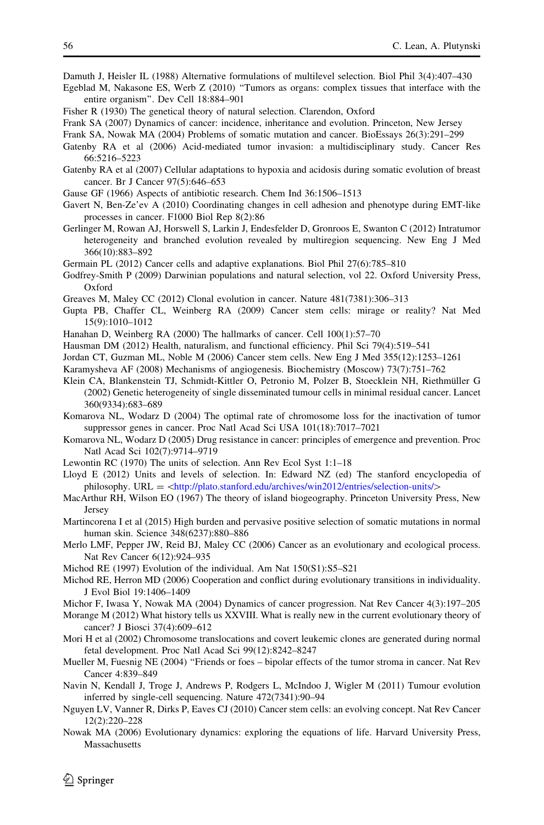<span id="page-17-0"></span>Damuth J, Heisler IL (1988) Alternative formulations of multilevel selection. Biol Phil 3(4):407–430

- Egeblad M, Nakasone ES, Werb Z (2010) ''Tumors as organs: complex tissues that interface with the entire organism''. Dev Cell 18:884–901
- Fisher R (1930) The genetical theory of natural selection. Clarendon, Oxford
- Frank SA (2007) Dynamics of cancer: incidence, inheritance and evolution. Princeton, New Jersey
- Frank SA, Nowak MA (2004) Problems of somatic mutation and cancer. BioEssays 26(3):291–299
- Gatenby RA et al (2006) Acid-mediated tumor invasion: a multidisciplinary study. Cancer Res 66:5216–5223
- Gatenby RA et al (2007) Cellular adaptations to hypoxia and acidosis during somatic evolution of breast cancer. Br J Cancer 97(5):646–653
- Gause GF (1966) Aspects of antibiotic research. Chem Ind 36:1506–1513
- Gavert N, Ben-Ze'ev A (2010) Coordinating changes in cell adhesion and phenotype during EMT-like processes in cancer. F1000 Biol Rep 8(2):86
- Gerlinger M, Rowan AJ, Horswell S, Larkin J, Endesfelder D, Gronroos E, Swanton C (2012) Intratumor heterogeneity and branched evolution revealed by multiregion sequencing. New Eng J Med 366(10):883–892
- Germain PL (2012) Cancer cells and adaptive explanations. Biol Phil 27(6):785–810
- Godfrey-Smith P (2009) Darwinian populations and natural selection, vol 22. Oxford University Press, Oxford
- Greaves M, Maley CC (2012) Clonal evolution in cancer. Nature 481(7381):306–313
- Gupta PB, Chaffer CL, Weinberg RA (2009) Cancer stem cells: mirage or reality? Nat Med 15(9):1010–1012
- Hanahan D, Weinberg RA (2000) The hallmarks of cancer. Cell 100(1):57–70
- Hausman DM (2012) Health, naturalism, and functional efficiency. Phil Sci 79(4):519–541
- Jordan CT, Guzman ML, Noble M (2006) Cancer stem cells. New Eng J Med 355(12):1253–1261
- Karamysheva AF (2008) Mechanisms of angiogenesis. Biochemistry (Moscow) 73(7):751–762
- Klein CA, Blankenstein TJ, Schmidt-Kittler O, Petronio M, Polzer B, Stoecklein NH, Riethmüller G (2002) Genetic heterogeneity of single disseminated tumour cells in minimal residual cancer. Lancet 360(9334):683–689
- Komarova NL, Wodarz D (2004) The optimal rate of chromosome loss for the inactivation of tumor suppressor genes in cancer. Proc Natl Acad Sci USA 101(18):7017–7021
- Komarova NL, Wodarz D (2005) Drug resistance in cancer: principles of emergence and prevention. Proc Natl Acad Sci 102(7):9714–9719
- Lewontin RC (1970) The units of selection. Ann Rev Ecol Syst 1:1–18
- Lloyd E (2012) Units and levels of selection. In: Edward NZ (ed) The stanford encyclopedia of philosophy. URL  $=\frac{\text{th}}{\text{th}}/{\text{plate}}$ .stanford.edu/archives/win2012/entries/selection-units/ $>$
- MacArthur RH, Wilson EO (1967) The theory of island biogeography. Princeton University Press, New **J**ersey
- Martincorena I et al (2015) High burden and pervasive positive selection of somatic mutations in normal human skin. Science 348(6237):880–886
- Merlo LMF, Pepper JW, Reid BJ, Maley CC (2006) Cancer as an evolutionary and ecological process. Nat Rev Cancer 6(12):924–935
- Michod RE (1997) Evolution of the individual. Am Nat 150(S1):S5–S21
- Michod RE, Herron MD (2006) Cooperation and conflict during evolutionary transitions in individuality. J Evol Biol 19:1406–1409
- Michor F, Iwasa Y, Nowak MA (2004) Dynamics of cancer progression. Nat Rev Cancer 4(3):197–205
- Morange M (2012) What history tells us XXVIII. What is really new in the current evolutionary theory of cancer? J Biosci 37(4):609–612
- Mori H et al (2002) Chromosome translocations and covert leukemic clones are generated during normal fetal development. Proc Natl Acad Sci 99(12):8242–8247
- Mueller M, Fuesnig NE (2004) ''Friends or foes bipolar effects of the tumor stroma in cancer. Nat Rev Cancer 4:839–849
- Navin N, Kendall J, Troge J, Andrews P, Rodgers L, McIndoo J, Wigler M (2011) Tumour evolution inferred by single-cell sequencing. Nature 472(7341):90–94
- Nguyen LV, Vanner R, Dirks P, Eaves CJ (2010) Cancer stem cells: an evolving concept. Nat Rev Cancer 12(2):220–228
- Nowak MA (2006) Evolutionary dynamics: exploring the equations of life. Harvard University Press, **Massachusetts**